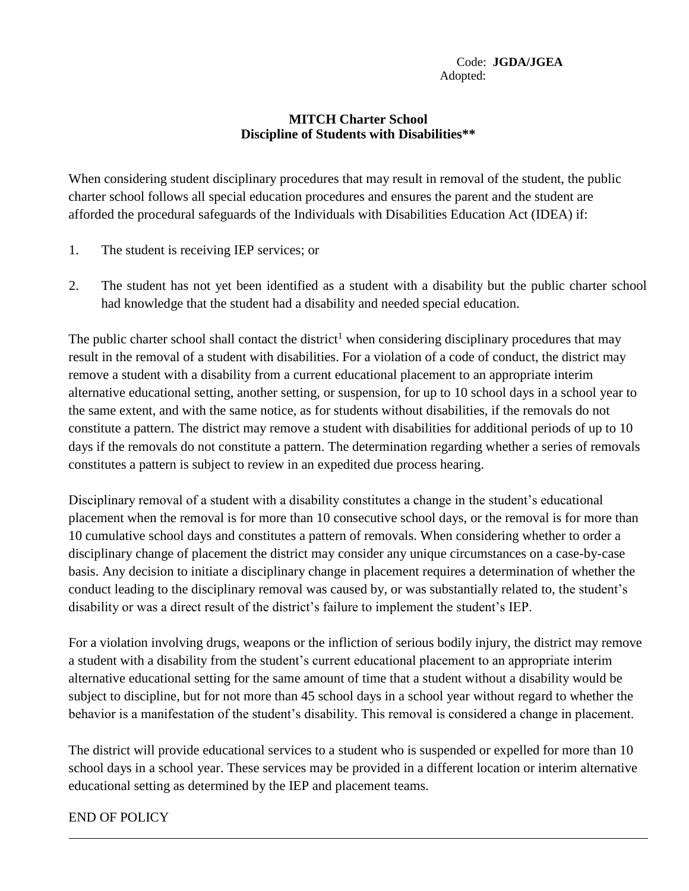## **MITCH Charter School Discipline of Students with Disabilities\*\***

When considering student disciplinary procedures that may result in removal of the student, the public charter school follows all special education procedures and ensures the parent and the student are afforded the procedural safeguards of the Individuals with Disabilities Education Act (IDEA) if:

- 1. The student is receiving IEP services; or
- 2. The student has not yet been identified as a student with a disability but the public charter school had knowledge that the student had a disability and needed special education.

The public charter school shall contact the district<sup>1</sup> when considering disciplinary procedures that may result in the removal of a student with disabilities. For a violation of a code of conduct, the district may remove a student with a disability from a current educational placement to an appropriate interim alternative educational setting, another setting, or suspension, for up to 10 school days in a school year to the same extent, and with the same notice, as for students without disabilities, if the removals do not constitute a pattern. The district may remove a student with disabilities for additional periods of up to 10 days if the removals do not constitute a pattern. The determination regarding whether a series of removals constitutes a pattern is subject to review in an expedited due process hearing.

Disciplinary removal of a student with a disability constitutes a change in the student's educational placement when the removal is for more than 10 consecutive school days, or the removal is for more than 10 cumulative school days and constitutes a pattern of removals. When considering whether to order a disciplinary change of placement the district may consider any unique circumstances on a case-by-case basis. Any decision to initiate a disciplinary change in placement requires a determination of whether the conduct leading to the disciplinary removal was caused by, or was substantially related to, the student's disability or was a direct result of the district's failure to implement the student's IEP.

For a violation involving drugs, weapons or the infliction of serious bodily injury, the district may remove a student with a disability from the student's current educational placement to an appropriate interim alternative educational setting for the same amount of time that a student without a disability would be subject to discipline, but for not more than 45 school days in a school year without regard to whether the behavior is a manifestation of the student's disability. This removal is considered a change in placement.

The district will provide educational services to a student who is suspended or expelled for more than 10 school days in a school year. These services may be provided in a different location or interim alternative educational setting as determined by the IEP and placement teams.

## END OF POLICY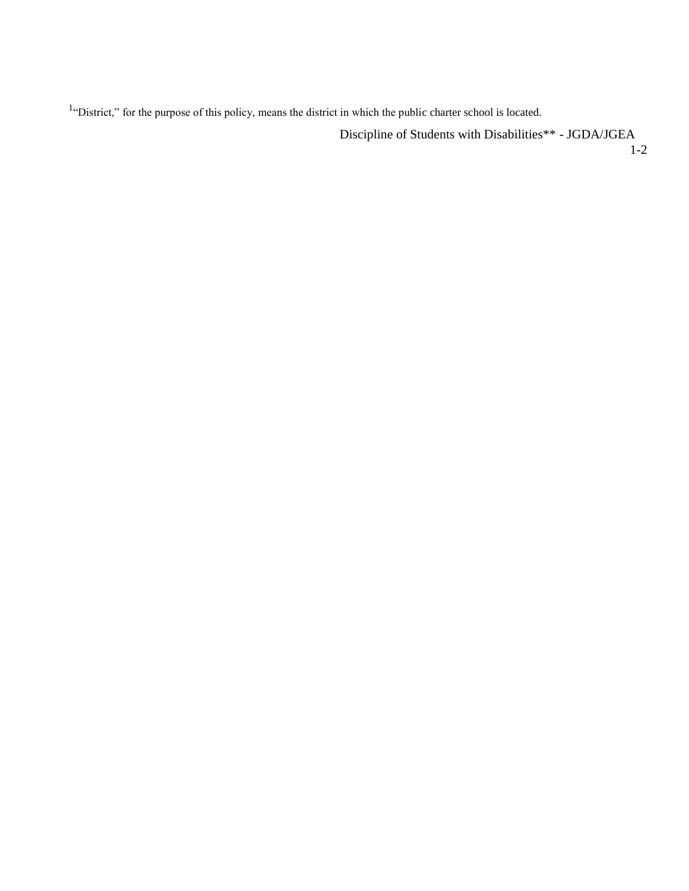<sup>1</sup>"District," for the purpose of this policy, means the district in which the public charter school is located.

Discipline of Students with Disabilities\*\* - JGDA/JGEA

1-2